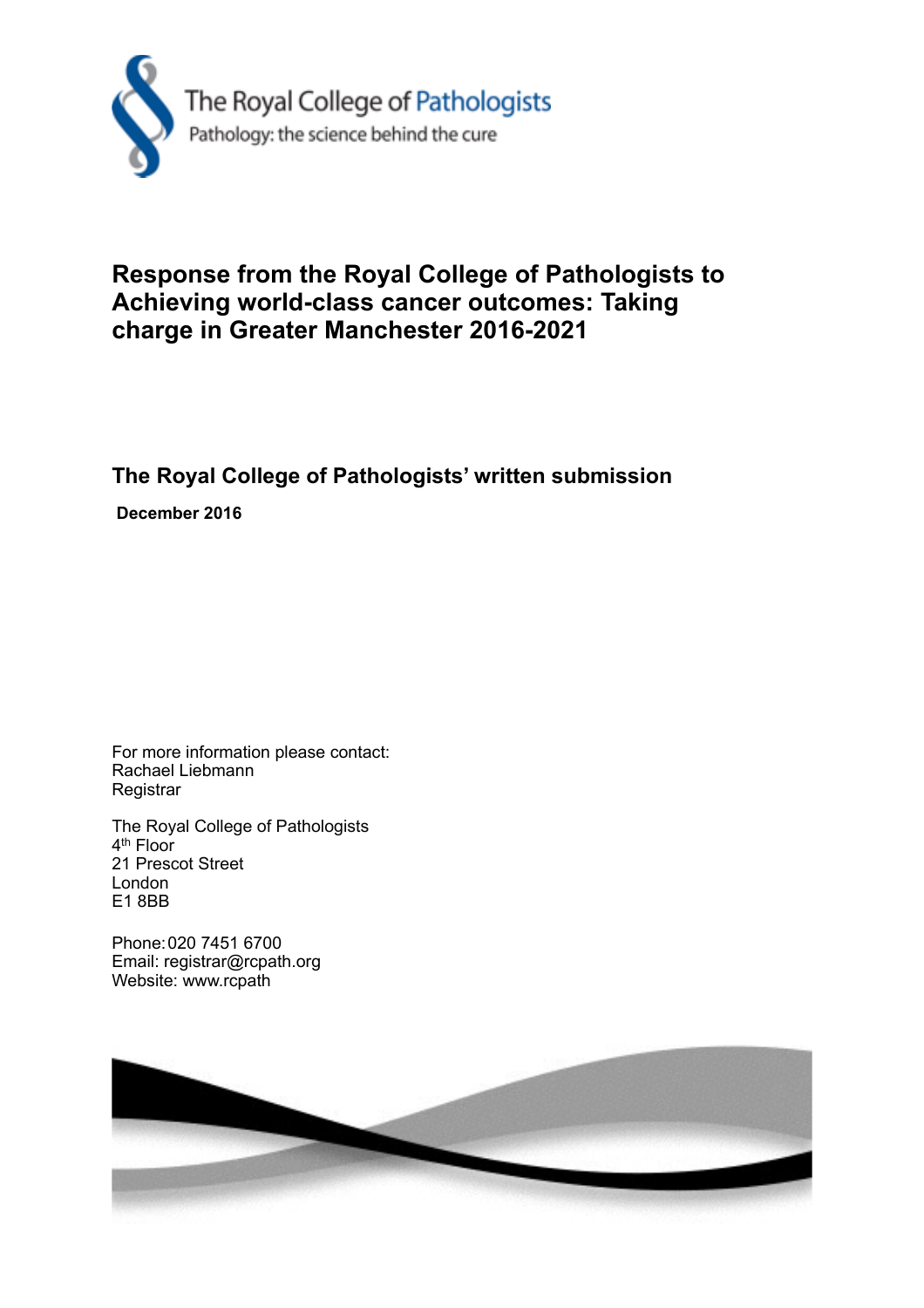

## **Response from the Royal College of Pathologists to Achieving world-class cancer outcomes: Taking charge in Greater Manchester 2016-2021**

## **The Royal College of Pathologists' written submission**

 **December 2016**

For more information please contact: Rachael Liebmann **Registrar** 

The Royal College of Pathologists 4<sup>th</sup> Floor 21 Prescot Street London E1 8BB

Phone: 020 7451 6700 Email: registrar@rcpath.org Website: www.rcpath

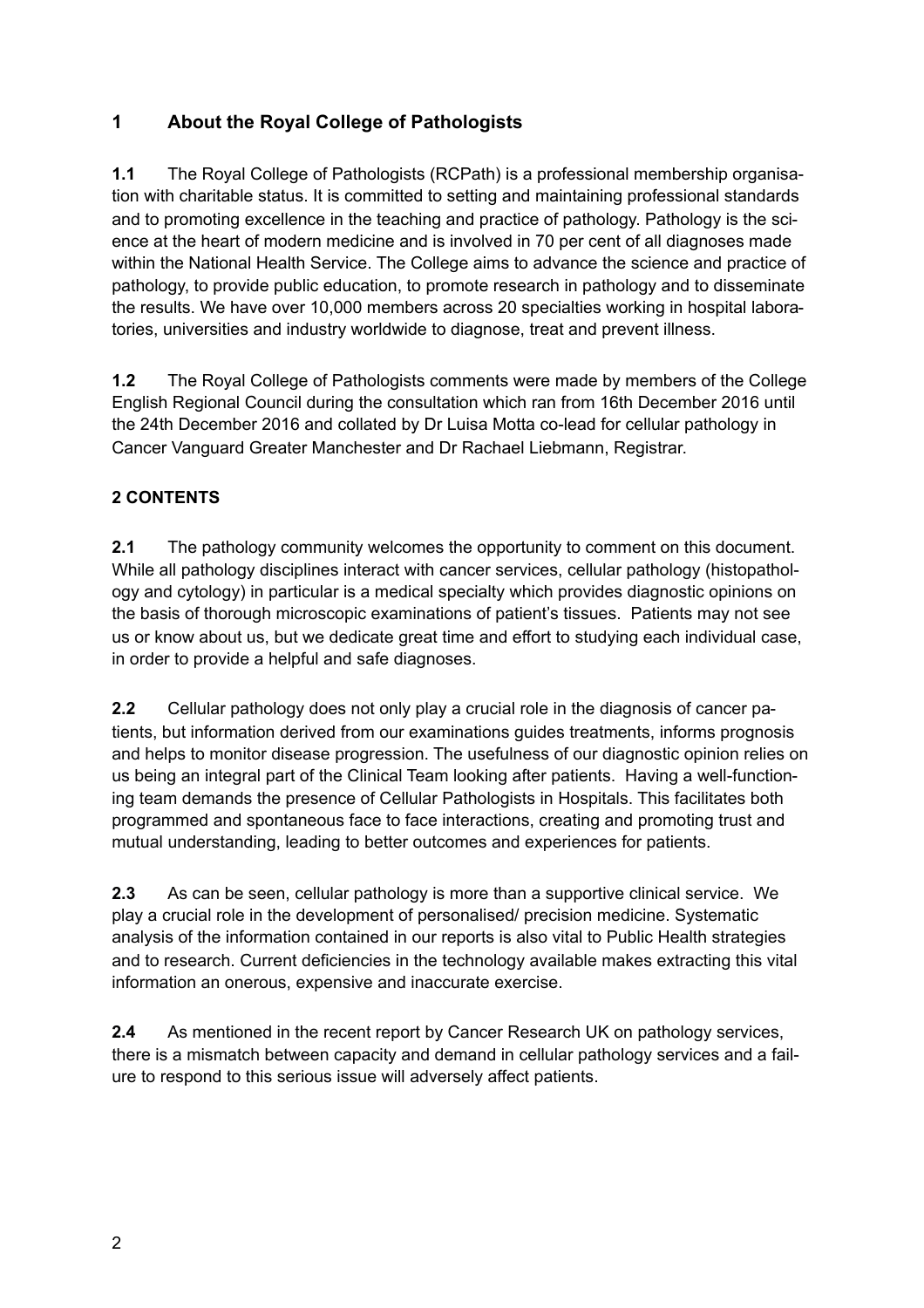## **1 About the Royal College of Pathologists**

**1.1** The Royal College of Pathologists (RCPath) is a professional membership organisation with charitable status. It is committed to setting and maintaining professional standards and to promoting excellence in the teaching and practice of pathology. Pathology is the science at the heart of modern medicine and is involved in 70 per cent of all diagnoses made within the National Health Service. The College aims to advance the science and practice of pathology, to provide public education, to promote research in pathology and to disseminate the results. We have over 10,000 members across 20 specialties working in hospital laboratories, universities and industry worldwide to diagnose, treat and prevent illness.

**1.2** The Royal College of Pathologists comments were made by members of the College English Regional Council during the consultation which ran from 16th December 2016 until the 24th December 2016 and collated by Dr Luisa Motta co-lead for cellular pathology in Cancer Vanguard Greater Manchester and Dr Rachael Liebmann, Registrar.

## **2 CONTENTS**

**2.1** The pathology community welcomes the opportunity to comment on this document. While all pathology disciplines interact with cancer services, cellular pathology (histopathology and cytology) in particular is a medical specialty which provides diagnostic opinions on the basis of thorough microscopic examinations of patient's tissues. Patients may not see us or know about us, but we dedicate great time and effort to studying each individual case, in order to provide a helpful and safe diagnoses.

**2.2** Cellular pathology does not only play a crucial role in the diagnosis of cancer patients, but information derived from our examinations guides treatments, informs prognosis and helps to monitor disease progression. The usefulness of our diagnostic opinion relies on us being an integral part of the Clinical Team looking after patients. Having a well-functioning team demands the presence of Cellular Pathologists in Hospitals. This facilitates both programmed and spontaneous face to face interactions, creating and promoting trust and mutual understanding, leading to better outcomes and experiences for patients.

**2.3** As can be seen, cellular pathology is more than a supportive clinical service. We play a crucial role in the development of personalised/ precision medicine. Systematic analysis of the information contained in our reports is also vital to Public Health strategies and to research. Current deficiencies in the technology available makes extracting this vital information an onerous, expensive and inaccurate exercise.

**2.4** As mentioned in the recent report by Cancer Research UK on pathology services, there is a mismatch between capacity and demand in cellular pathology services and a failure to respond to this serious issue will adversely affect patients.